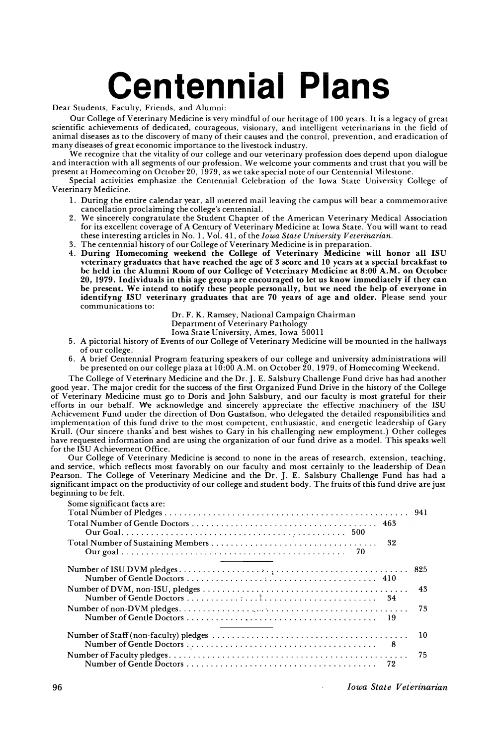## **Centennial Plans**

Dear Students, Faculty, Friends, and Alumni:

Our College of Veterinary Medicine is very mindful of our heritage of 100 years. It is a legacy of great scientific achievements of dedicated, courageous, visionary, and intelligent veterinarians in the field of animal diseases as to the discovery of many of their causes and the control, prevention, and eradication of many diseases of great economic importance to the livestock industry.

We recognize that the vitality of our college and our veterinary profession does depend upon dialogue and interaction with all segments of our profession. We welcome your comments and trust that you will be present at Homecoming on October 20, 1979, as we take special note of our Centennial Milestone.

Special activities emphasize the Centennial Celebration of the Iowa State University College of Veterinary Medicine.

- 1. During the entire calendar year, all metered mail leaving the campus will bear a commemorative cancellation proclaiming the college's centennial.
- 2. We sincerely congratulate the Student Chapter of the American Veterinary Medical Association for its excellent coverage of A Century of Veterinary Medicine at Iowa State. You will want to read these interesting articles in No.1, Vol. 41, of the *Iowa State University Veterinarian.*
- 3. The centennial history of our College of Veterinary Medicine is in preparation.
- 4. During Homecoming weekend the College of Veterinary Medicine will honor all ISU veterinary graduates that have reached the age of 3 score and 10 years at a special breakfast to be held in the Alumni Room of our College of Veterinary Medicine at 8:00 A.M. on October 20, 1979. Individuals in this'age group are encouraged to let us know immediately if they can be present. We intend to notify these people personally, but we need the help of everyone in identifyng ISU veterinary graduates that are 70 years of age and older. Please send your communications to:

Dr. F. K. Ramsey, National Campaign Chairman

Department of Veterinary Pathology

Iowa State University, Ames, Iowa 50011

- 5. A pictorial history of Events of our College of Veterinary Medicine will be mounted in the hallways of our college.
- 6. A brief Centennial Program featuring speakers of our college and university administrations will be presented on our college plaza at 10:00 A.M. on October 20,1979, of Homecoming Weekend.

The College of Veterinary Medicine and the Dr. J. E. Salsbury Challenge Fund drive has had another good year. The major credit for the success of the first Organized Fund Drive in the history of the College of Veterinary Medicine must go to Doris and John Salsbury, and our faculty is most grateful for their efforts in our behalf. We- acknowledge and sincerely appreciate the effective machinery of the ISU Achievement Fund under the direction of Don Gustafson, who delegated the detailed responsibilities and implementation of this fund drive to the most competent, enthusiastic, and energetic leadership of Gary Krull. (Our sincere thanks" and best wishes to Gary in his challenging new employment.) Other colleges have requested information and are using the organization of our fund drive as a model. This speaks well for the ISU Achievement Office.

Our College of Veterinary Medicine is second to none in the areas of research, extension, teaching, and service, which reflects most favorably on our faculty and most certainly to the leadership of Dean Pearson. The College of Veterinary Medicine and the Dr. J. E. Salsbury Challenge Fund has had a significant impact on the productivity of our college and student body. The fruits of this fund drive are just beginning to be felt.

| Some significant facts are: |    |
|-----------------------------|----|
|                             |    |
|                             |    |
|                             |    |
|                             | 43 |
|                             | 73 |
|                             | 10 |
|                             | 75 |